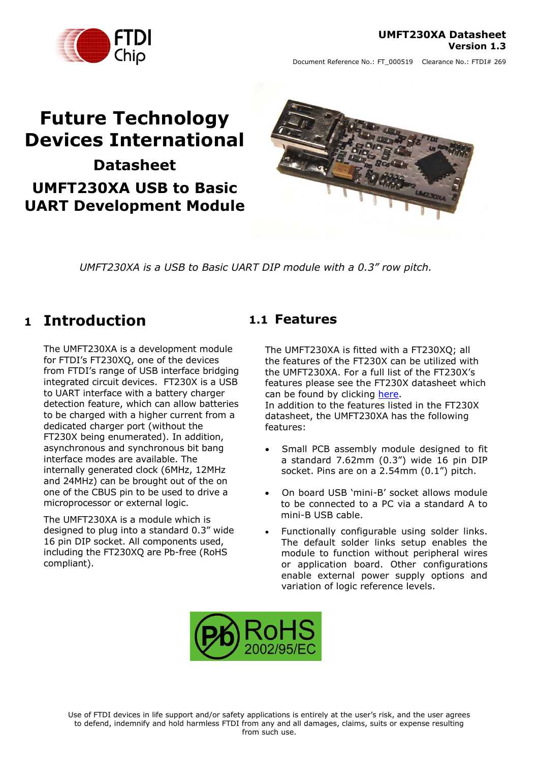#### **UMFT230XA Datasheet Version 1.3**



Document Reference No.: FT\_000519 Clearance No.: FTDI# 269

# **Future Technology Devices International Datasheet UMFT230XA USB to Basic**

**UART Development Module**



*UMFT230XA is a USB to Basic UART DIP module with a 0.3" row pitch.*

# <span id="page-0-0"></span>**1 Introduction**

The UMFT230XA is a development module for FTDI's FT230XQ, one of the devices from FTDI's range of USB interface bridging integrated circuit devices. FT230X is a USB to UART interface with a battery charger detection feature, which can allow batteries to be charged with a higher current from a dedicated charger port (without the FT230X being enumerated). In addition, asynchronous and synchronous bit bang interface modes are available. The internally generated clock (6MHz, 12MHz and 24MHz) can be brought out of the on one of the CBUS pin to be used to drive a microprocessor or external logic.

The UMFT230XA is a module which is designed to plug into a standard 0.3" wide 16 pin DIP socket. All components used, including the FT230XQ are Pb-free (RoHS compliant).

## <span id="page-0-1"></span>**1.1 Features**

The UMFT230XA is fitted with a FT230XQ; all the features of the FT230X can be utilized with the UMFT230XA. For a full list of the FT230X's features please see the FT230X datasheet which can be found by clicking [here.](http://www.ftdichip.com/Support/Documents/DataSheets/ICs/DS_FT230X.pdf) In addition to the features listed in the FT230X datasheet, the UMFT230XA has the following features:

- Small PCB assembly module designed to fit a standard 7.62mm (0.3") wide 16 pin DIP socket. Pins are on a 2.54mm (0.1") pitch.
- On board USB 'mini-B' socket allows module to be connected to a PC via a standard A to mini-B USB cable.
- Functionally configurable using solder links. The default solder links setup enables the module to function without peripheral wires or application board. Other configurations enable external power supply options and variation of logic reference levels.

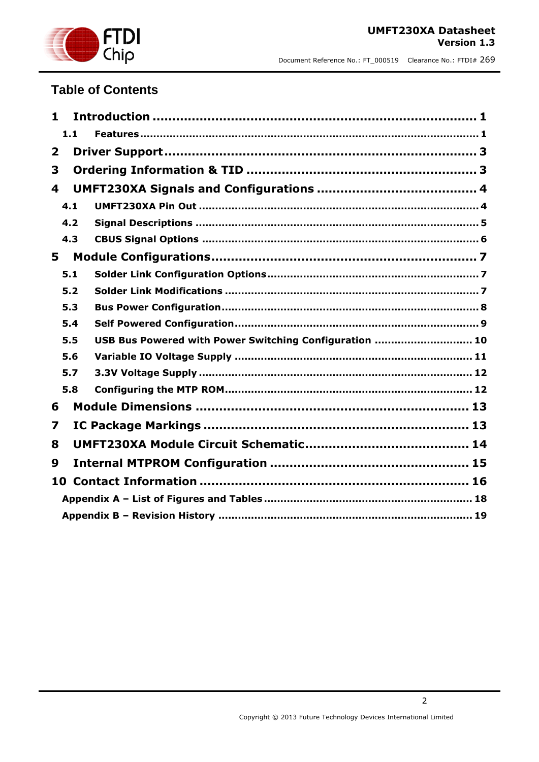

## **Table of Contents**

| 1            |     |                                                        |  |
|--------------|-----|--------------------------------------------------------|--|
|              | 1.1 |                                                        |  |
| $\mathbf{2}$ |     |                                                        |  |
| 3            |     |                                                        |  |
| 4            |     |                                                        |  |
|              | 4.1 |                                                        |  |
|              | 4.2 |                                                        |  |
|              | 4.3 |                                                        |  |
| 5            |     |                                                        |  |
|              | 5.1 |                                                        |  |
|              | 5.2 |                                                        |  |
|              | 5.3 |                                                        |  |
|              | 5.4 |                                                        |  |
|              | 5.5 | USB Bus Powered with Power Switching Configuration  10 |  |
|              | 5.6 |                                                        |  |
|              | 5.7 |                                                        |  |
|              | 5.8 |                                                        |  |
| 6            |     |                                                        |  |
| 7            |     |                                                        |  |
| 8            |     |                                                        |  |
| 9            |     |                                                        |  |
|              |     |                                                        |  |
|              |     |                                                        |  |
|              |     |                                                        |  |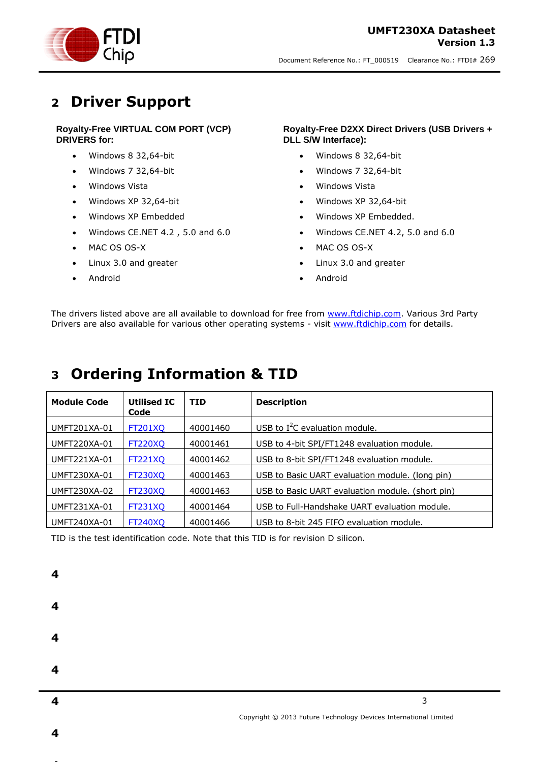

# <span id="page-2-0"></span>**2 Driver Support**

#### **Royalty-Free VIRTUAL COM PORT (VCP) DRIVERS for:**

- Windows 8 32,64-bit
- Windows 7 32,64-bit
- Windows Vista
- Windows XP 32,64-bit
- Windows XP Embedded
- Windows CE.NET 4.2 , 5.0 and 6.0
- MAC OS OS-X
- Linux 3.0 and greater
- Android

**4**

**4**

#### **Royalty-Free D2XX Direct Drivers (USB Drivers + DLL S/W Interface):**

- Windows 8 32,64-bit
- Windows 7 32,64-bit
- Windows Vista
- Windows XP 32,64-bit
- Windows XP Embedded.
- Windows CE.NET 4.2, 5.0 and 6.0
- MAC OS OS-X
- Linux 3.0 and greater
- Android

The drivers listed above are all available to download for free from [www.ftdichip.com.](http://www.ftdichip.com/) Various 3rd Party Drivers are also available for various other operating systems - visit [www.ftdichip.com](http://www.ftdichip.com/) for details.

# <span id="page-2-1"></span>**3 Ordering Information & TID**

| <b>Module Code</b>  | <b>Utilised IC</b><br>Code | <b>TID</b> | <b>Description</b>                               |
|---------------------|----------------------------|------------|--------------------------------------------------|
| UMFT201XA-01        | <b>FT201XO</b>             | 40001460   | USB to $I^2C$ evaluation module.                 |
| UMFT220XA-01        | <b>FT220XQ</b>             | 40001461   | USB to 4-bit SPI/FT1248 evaluation module.       |
| UMFT221XA-01        | <b>FT221XO</b>             | 40001462   | USB to 8-bit SPI/FT1248 evaluation module.       |
| UMFT230XA-01        | <b>FT230XQ</b>             | 40001463   | USB to Basic UART evaluation module. (long pin)  |
| UMFT230XA-02        | <b>FT230XO</b>             | 40001463   | USB to Basic UART evaluation module. (short pin) |
| UMFT231XA-01        | <b>FT231XO</b>             | 40001464   | USB to Full-Handshake UART evaluation module.    |
| <b>UMFT240XA-01</b> | <b>FT240XO</b>             | 40001466   | USB to 8-bit 245 FIFO evaluation module.         |

TID is the test identification code. Note that this TID is for revision D silicon.

| Δ |                                                                  |
|---|------------------------------------------------------------------|
|   |                                                                  |
| 4 |                                                                  |
|   |                                                                  |
| 4 | 3                                                                |
|   | Copyright © 2013 Future Technology Devices International Limited |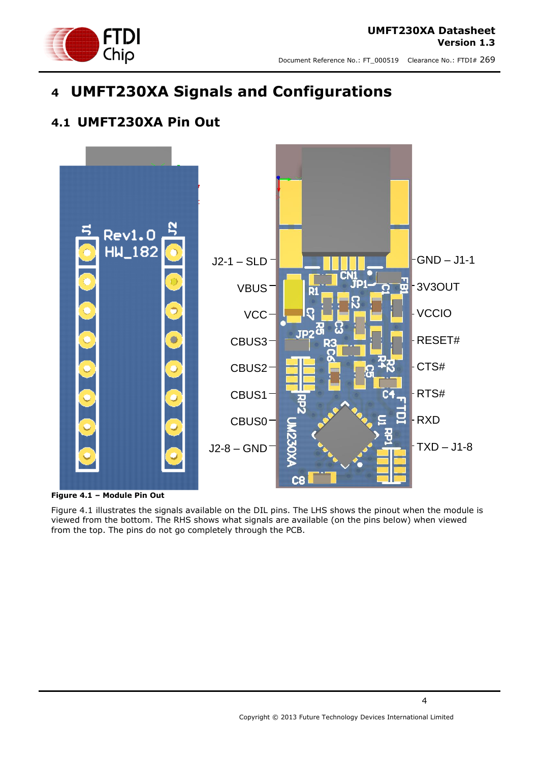

# <span id="page-3-0"></span>**4 UMFT230XA Signals and Configurations**

## <span id="page-3-1"></span>**4.1 UMFT230XA Pin Out**



<span id="page-3-2"></span>**Figure 4.1 – Module Pin Out** 

Figure 4.1 illustrates the signals available on the DIL pins. The LHS shows the pinout when the module is viewed from the bottom. The RHS shows what signals are available (on the pins below) when viewed from the top. The pins do not go completely through the PCB.

4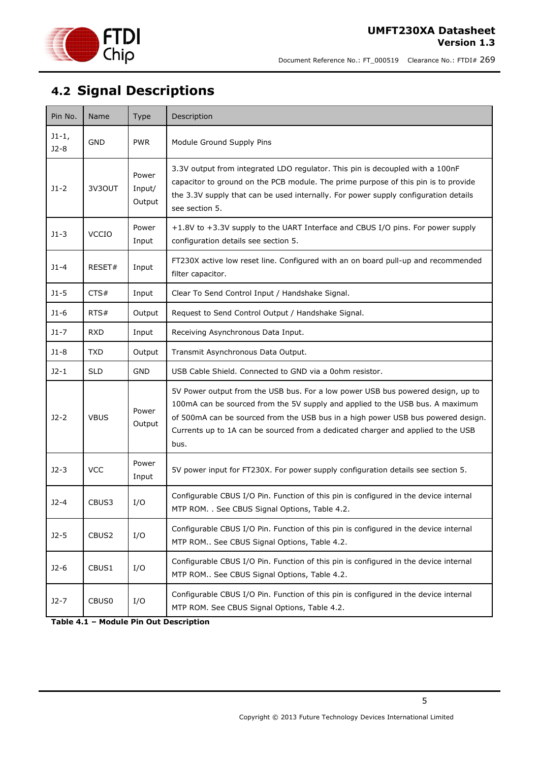

# <span id="page-4-0"></span>**4.2 Signal Descriptions**

| Pin No.           | Name         | <b>Type</b>               | Description                                                                                                                                                                                                                                                                                                                                      |
|-------------------|--------------|---------------------------|--------------------------------------------------------------------------------------------------------------------------------------------------------------------------------------------------------------------------------------------------------------------------------------------------------------------------------------------------|
| $J1-1,$<br>$J2-8$ | <b>GND</b>   | <b>PWR</b>                | Module Ground Supply Pins                                                                                                                                                                                                                                                                                                                        |
| $J1-2$            | 3V3OUT       | Power<br>Input/<br>Output | 3.3V output from integrated LDO regulator. This pin is decoupled with a 100nF<br>capacitor to ground on the PCB module. The prime purpose of this pin is to provide<br>the 3.3V supply that can be used internally. For power supply configuration details<br>see section 5.                                                                     |
| $J1-3$            | <b>VCCIO</b> | Power<br>Input            | +1.8V to +3.3V supply to the UART Interface and CBUS I/O pins. For power supply<br>configuration details see section 5.                                                                                                                                                                                                                          |
| $J1 - 4$          | RESET#       | Input                     | FT230X active low reset line. Configured with an on board pull-up and recommended<br>filter capacitor.                                                                                                                                                                                                                                           |
| $J1-5$            | CTS#         | Input                     | Clear To Send Control Input / Handshake Signal.                                                                                                                                                                                                                                                                                                  |
| $J1-6$            | RTS#         | Output                    | Request to Send Control Output / Handshake Signal.                                                                                                                                                                                                                                                                                               |
| $J1-7$            | <b>RXD</b>   | Input                     | Receiving Asynchronous Data Input.                                                                                                                                                                                                                                                                                                               |
| $J1 - 8$          | <b>TXD</b>   | Output                    | Transmit Asynchronous Data Output.                                                                                                                                                                                                                                                                                                               |
| $J2-1$            | <b>SLD</b>   | <b>GND</b>                | USB Cable Shield. Connected to GND via a 0ohm resistor.                                                                                                                                                                                                                                                                                          |
| $J2-2$            | <b>VBUS</b>  | Power<br>Output           | 5V Power output from the USB bus. For a low power USB bus powered design, up to<br>100mA can be sourced from the 5V supply and applied to the USB bus. A maximum<br>of 500mA can be sourced from the USB bus in a high power USB bus powered design.<br>Currents up to 1A can be sourced from a dedicated charger and applied to the USB<br>bus. |
| $J2-3$            | <b>VCC</b>   | Power<br>Input            | 5V power input for FT230X. For power supply configuration details see section 5.                                                                                                                                                                                                                                                                 |
| $J2-4$            | CBUS3        | I/O                       | Configurable CBUS I/O Pin. Function of this pin is configured in the device internal<br>MTP ROM. . See CBUS Signal Options, Table 4.2.                                                                                                                                                                                                           |
| $J2-5$            | CBUS2        | I/O                       | Configurable CBUS I/O Pin. Function of this pin is configured in the device internal<br>MTP ROM See CBUS Signal Options, Table 4.2.                                                                                                                                                                                                              |
| $J2-6$            | CBUS1        | I/O                       | Configurable CBUS I/O Pin. Function of this pin is configured in the device internal<br>MTP ROM See CBUS Signal Options, Table 4.2.                                                                                                                                                                                                              |
| $J2-7$            | CBUS0        | I/O                       | Configurable CBUS I/O Pin. Function of this pin is configured in the device internal<br>MTP ROM. See CBUS Signal Options, Table 4.2.                                                                                                                                                                                                             |

<span id="page-4-1"></span>**Table 4.1 – Module Pin Out Description**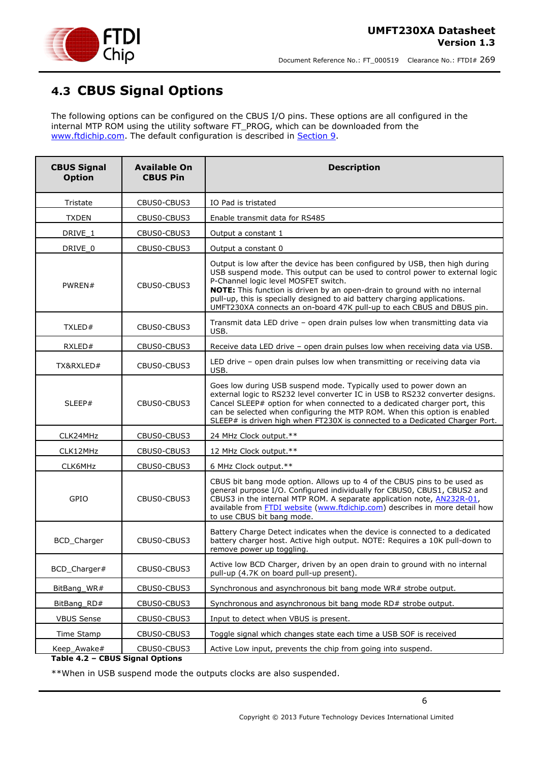

# <span id="page-5-0"></span>**4.3 CBUS Signal Options**

The following options can be configured on the CBUS I/O pins. These options are all configured in the internal MTP ROM using the utility software FT\_PROG, which can be downloaded from the [www.ftdichip.com.](http://www.ftdichip.com/) The default configuration is described in [Section 9.](../../My%20Documents/SharePoint%20Drafts/DS_UMFT231XA-01.doc#_Internal_EEPROM_Configuration)

| <b>CBUS Signal</b><br><b>Option</b> | <b>Available On</b><br><b>CBUS Pin</b> | <b>Description</b>                                                                                                                                                                                                                                                                                                                                                                                                                     |
|-------------------------------------|----------------------------------------|----------------------------------------------------------------------------------------------------------------------------------------------------------------------------------------------------------------------------------------------------------------------------------------------------------------------------------------------------------------------------------------------------------------------------------------|
| Tristate                            | CBUS0-CBUS3                            | IO Pad is tristated                                                                                                                                                                                                                                                                                                                                                                                                                    |
| <b>TXDEN</b>                        | CBUS0-CBUS3                            | Enable transmit data for RS485                                                                                                                                                                                                                                                                                                                                                                                                         |
| DRIVE_1                             | CBUS0-CBUS3                            | Output a constant 1                                                                                                                                                                                                                                                                                                                                                                                                                    |
| DRIVE_0                             | CBUS0-CBUS3                            | Output a constant 0                                                                                                                                                                                                                                                                                                                                                                                                                    |
| PWREN#                              | CBUS0-CBUS3                            | Output is low after the device has been configured by USB, then high during<br>USB suspend mode. This output can be used to control power to external logic<br>P-Channel logic level MOSFET switch.<br>NOTE: This function is driven by an open-drain to ground with no internal<br>pull-up, this is specially designed to aid battery charging applications.<br>UMFT230XA connects an on-board 47K pull-up to each CBUS and DBUS pin. |
| TXLED#                              | CBUS0-CBUS3                            | Transmit data LED drive - open drain pulses low when transmitting data via<br>USB.                                                                                                                                                                                                                                                                                                                                                     |
| RXLED#                              | CBUS0-CBUS3                            | Receive data LED drive - open drain pulses low when receiving data via USB.                                                                                                                                                                                                                                                                                                                                                            |
| TX&RXLED#                           | CBUS0-CBUS3                            | LED drive - open drain pulses low when transmitting or receiving data via<br>USB.                                                                                                                                                                                                                                                                                                                                                      |
| SLEEP#                              | CBUS0-CBUS3                            | Goes low during USB suspend mode. Typically used to power down an<br>external logic to RS232 level converter IC in USB to RS232 converter designs.<br>Cancel SLEEP# option for when connected to a dedicated charger port, this<br>can be selected when configuring the MTP ROM. When this option is enabled<br>SLEEP# is driven high when FT230X is connected to a Dedicated Charger Port.                                            |
| CLK24MHz                            | CBUS0-CBUS3                            | 24 MHz Clock output.**                                                                                                                                                                                                                                                                                                                                                                                                                 |
| CLK12MHz                            | CBUS0-CBUS3                            | 12 MHz Clock output.**                                                                                                                                                                                                                                                                                                                                                                                                                 |
| CLK6MHz                             | CBUS0-CBUS3                            | 6 MHz Clock output.**                                                                                                                                                                                                                                                                                                                                                                                                                  |
| GPIO                                | CBUS0-CBUS3                            | CBUS bit bang mode option. Allows up to 4 of the CBUS pins to be used as<br>general purpose I/O. Configured individually for CBUS0, CBUS1, CBUS2 and<br>CBUS3 in the internal MTP ROM. A separate application note, AN232R-01,<br>available from <b>FTDI</b> website (www.ftdichip.com) describes in more detail how<br>to use CBUS bit bang mode.                                                                                     |
| BCD_Charger                         | CBUS0-CBUS3                            | Battery Charge Detect indicates when the device is connected to a dedicated<br>battery charger host. Active high output. NOTE: Requires a 10K pull-down to<br>remove power up toggling.                                                                                                                                                                                                                                                |
| BCD_Charger#                        | CBUS0-CBUS3                            | Active low BCD Charger, driven by an open drain to ground with no internal<br>pull-up (4.7K on board pull-up present).                                                                                                                                                                                                                                                                                                                 |
| BitBang WR#                         | CBUS0-CBUS3                            | Synchronous and asynchronous bit bang mode WR# strobe output.                                                                                                                                                                                                                                                                                                                                                                          |
| BitBang_RD#                         | CBUS0-CBUS3                            | Synchronous and asynchronous bit bang mode RD# strobe output.                                                                                                                                                                                                                                                                                                                                                                          |
| <b>VBUS Sense</b>                   | CBUS0-CBUS3                            | Input to detect when VBUS is present.                                                                                                                                                                                                                                                                                                                                                                                                  |
| Time Stamp                          | CBUS0-CBUS3                            | Toggle signal which changes state each time a USB SOF is received                                                                                                                                                                                                                                                                                                                                                                      |
| Keep_Awake#                         | CBUS0-CBUS3                            | Active Low input, prevents the chip from going into suspend.                                                                                                                                                                                                                                                                                                                                                                           |

<span id="page-5-1"></span>**Table 4.2 – CBUS Signal Options**

\*\*When in USB suspend mode the outputs clocks are also suspended.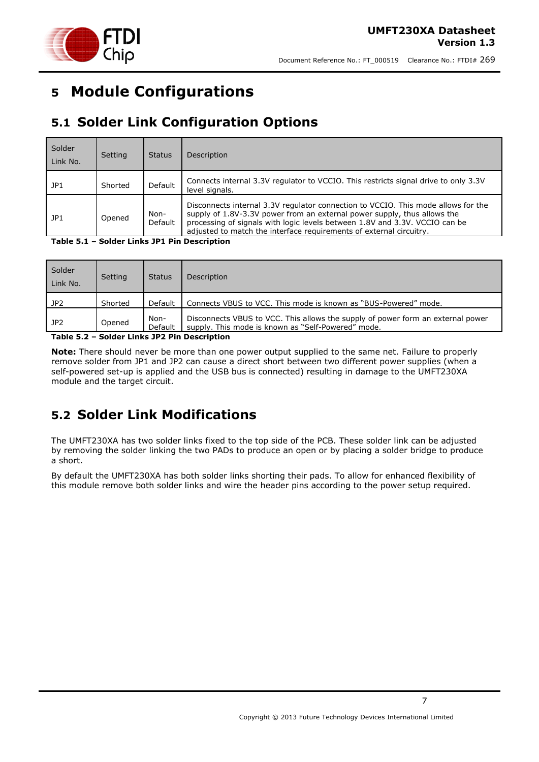



# <span id="page-6-0"></span>**5 Module Configurations**

# <span id="page-6-1"></span>**5.1 Solder Link Configuration Options**

| Solder<br>Link No. | Setting | <b>Status</b>   | Description                                                                                                                                                                                                                                                                                                         |
|--------------------|---------|-----------------|---------------------------------------------------------------------------------------------------------------------------------------------------------------------------------------------------------------------------------------------------------------------------------------------------------------------|
| JP1                | Shorted | Default         | Connects internal 3.3V regulator to VCCIO. This restricts signal drive to only 3.3V<br>level signals.                                                                                                                                                                                                               |
| JP1                | Opened  | Non-<br>Default | Disconnects internal 3.3V regulator connection to VCCIO. This mode allows for the<br>supply of 1.8V-3.3V power from an external power supply, thus allows the<br>processing of signals with logic levels between 1.8V and 3.3V. VCCIO can be<br>adjusted to match the interface requirements of external circuitry. |

<span id="page-6-3"></span>**Table 5.1 – Solder Links JP1 Pin Description**

| Solder<br>Link No. | Setting | <b>Status</b>   | Description                                                                                                                           |
|--------------------|---------|-----------------|---------------------------------------------------------------------------------------------------------------------------------------|
| JP2                | Shorted | Default         | Connects VBUS to VCC. This mode is known as "BUS-Powered" mode.                                                                       |
| JP2                | Opened  | Non-<br>Default | Disconnects VBUS to VCC. This allows the supply of power form an external power<br>supply. This mode is known as "Self-Powered" mode. |

<span id="page-6-4"></span>**Table 5.2 – Solder Links JP2 Pin Description**

**Note:** There should never be more than one power output supplied to the same net. Failure to properly remove solder from JP1 and JP2 can cause a direct short between two different power supplies (when a self-powered set-up is applied and the USB bus is connected) resulting in damage to the UMFT230XA module and the target circuit.

# <span id="page-6-2"></span>**5.2 Solder Link Modifications**

The UMFT230XA has two solder links fixed to the top side of the PCB. These solder link can be adjusted by removing the solder linking the two PADs to produce an open or by placing a solder bridge to produce a short.

By default the UMFT230XA has both solder links shorting their pads. To allow for enhanced flexibility of this module remove both solder links and wire the header pins according to the power setup required.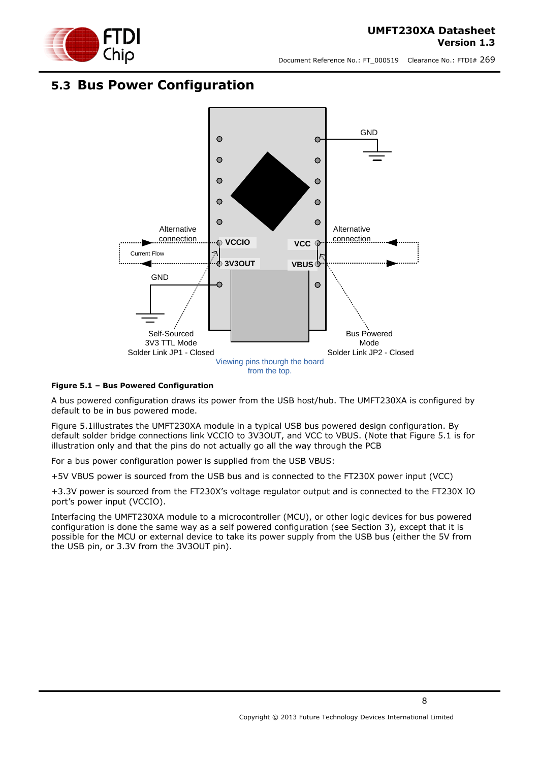

## <span id="page-7-0"></span>**5.3 Bus Power Configuration**



#### <span id="page-7-1"></span>**Figure 5.1 – Bus Powered Configuration**

A bus powered configuration draws its power from the USB host/hub. The UMFT230XA is configured by default to be in bus powered mode.

[Figure 5.1i](#page-7-1)llustrates the UMFT230XA module in a typical USB bus powered design configuration. By default solder bridge connections link VCCIO to 3V3OUT, and VCC to VBUS. (Note that Figure 5.1 is for illustration only and that the pins do not actually go all the way through the PCB

For a bus power configuration power is supplied from the USB VBUS:

+5V VBUS power is sourced from the USB bus and is connected to the FT230X power input (VCC)

+3.3V power is sourced from the FT230X's voltage regulator output and is connected to the FT230X IO port's power input (VCCIO).

Interfacing the UMFT230XA module to a microcontroller (MCU), or other logic devices for bus powered configuration is done the same way as a self powered configuration (see Section 3), except that it is possible for the MCU or external device to take its power supply from the USB bus (either the 5V from the USB pin, or 3.3V from the 3V3OUT pin).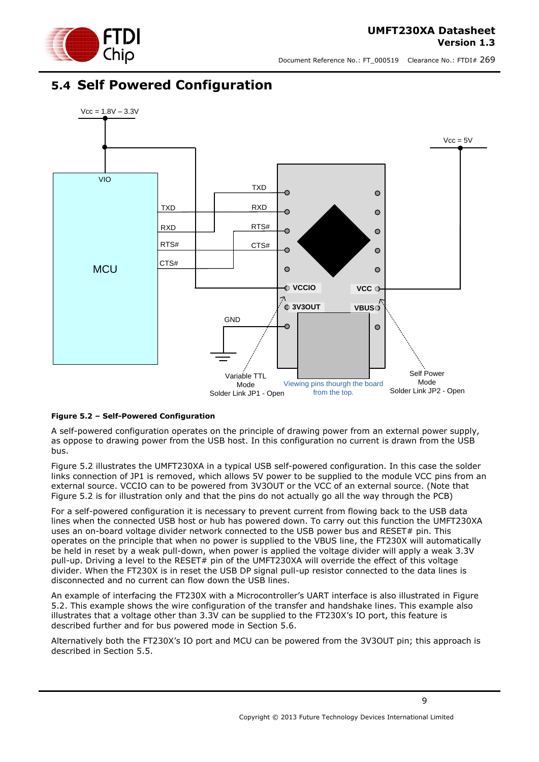

### <span id="page-8-0"></span>**5.4 Self Powered Configuration**



#### <span id="page-8-1"></span>**Figure 5.2 – Self-Powered Configuration**

A self-powered configuration operates on the principle of drawing power from an external power supply, as oppose to drawing power from the USB host. In this configuration no current is drawn from the USB bus.

[Figure 5.2](#page-8-1) illustrates the UMFT230XA in a typical USB self-powered configuration. In this case the solder links connection of JP1 is removed, which allows 5V power to be supplied to the module VCC pins from an external source. VCCIO can to be powered from 3V3OUT or the VCC of an external source. (Note that Figure 5.2 is for illustration only and that the pins do not actually go all the way through the PCB)

For a self-powered configuration it is necessary to prevent current from flowing back to the USB data lines when the connected USB host or hub has powered down. To carry out this function the UMFT230XA uses an on-board voltage divider network connected to the USB power bus and RESET# pin. This operates on the principle that when no power is supplied to the VBUS line, the FT230X will automatically be held in reset by a weak pull-down, when power is applied the voltage divider will apply a weak 3.3V pull-up. Driving a level to the RESET# pin of the UMFT230XA will override the effect of this voltage divider. When the FT230X is in reset the USB DP signal pull-up resistor connected to the data lines is disconnected and no current can flow down the USB lines.

An example of interfacing the FT230X with a Microcontroller's UART interface is also illustrated in [Figure](#page-8-1)  [5.2.](#page-8-1) This example shows the wire configuration of the transfer and handshake lines. This example also illustrates that a voltage other than 3.3V can be supplied to the FT230X's IO port, this feature is described further and for bus powered mode in Section [5.6.](#page-10-0)

Alternatively both the FT230X's IO port and MCU can be powered from the 3V3OUT pin; this approach is described in Section [5.5.](#page-9-0)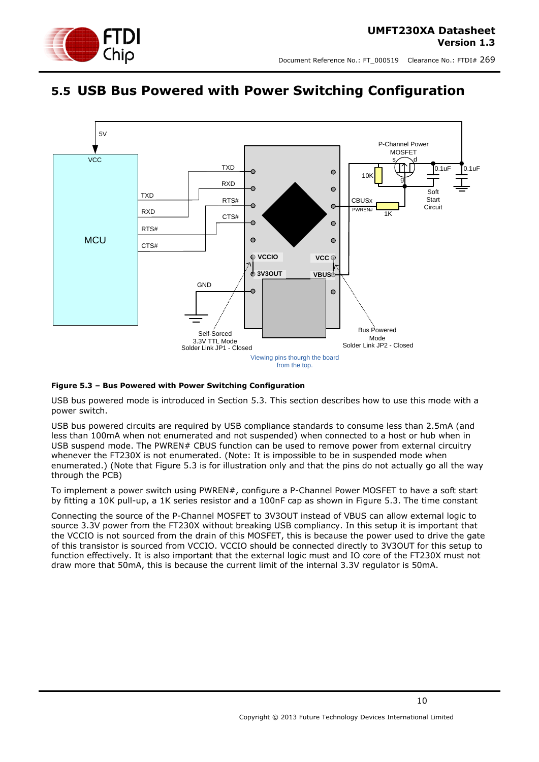

# <span id="page-9-0"></span>**5.5 USB Bus Powered with Power Switching Configuration**



#### <span id="page-9-1"></span>**Figure 5.3 – Bus Powered with Power Switching Configuration**

USB bus powered mode is introduced in Section [5.3.](#page-7-0) This section describes how to use this mode with a power switch.

USB bus powered circuits are required by USB compliance standards to consume less than 2.5mA (and less than 100mA when not enumerated and not suspended) when connected to a host or hub when in USB suspend mode. The PWREN# CBUS function can be used to remove power from external circuitry whenever the FT230X is not enumerated. (Note: It is impossible to be in suspended mode when enumerated.) (Note that Figure 5.3 is for illustration only and that the pins do not actually go all the way through the PCB)

To implement a power switch using PWREN#, configure a P-Channel Power MOSFET to have a soft start by fitting a 10K pull-up, a 1K series resistor and a 100nF cap as shown in [Figure 5.3.](#page-9-1) The time constant

Connecting the source of the P-Channel MOSFET to 3V3OUT instead of VBUS can allow external logic to source 3.3V power from the FT230X without breaking USB compliancy. In this setup it is important that the VCCIO is not sourced from the drain of this MOSFET, this is because the power used to drive the gate of this transistor is sourced from VCCIO. VCCIO should be connected directly to 3V3OUT for this setup to function effectively. It is also important that the external logic must and IO core of the FT230X must not draw more that 50mA, this is because the current limit of the internal 3.3V regulator is 50mA.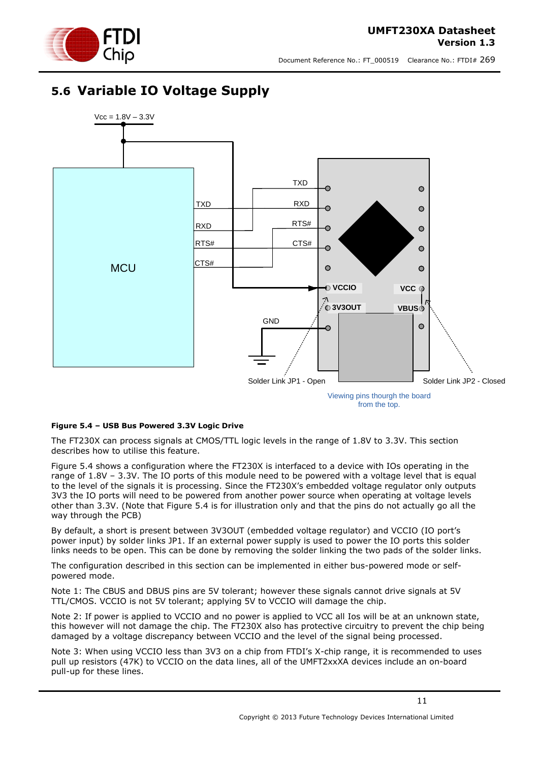# <span id="page-10-0"></span>**5.6 Variable IO Voltage Supply**



from the top.

#### <span id="page-10-1"></span>**Figure 5.4 – USB Bus Powered 3.3V Logic Drive**

The FT230X can process signals at CMOS/TTL logic levels in the range of 1.8V to 3.3V. This section describes how to utilise this feature.

[Figure 5.4](#page-10-1) shows a configuration where the FT230X is interfaced to a device with IOs operating in the range of 1.8V – 3.3V. The IO ports of this module need to be powered with a voltage level that is equal to the level of the signals it is processing. Since the FT230X's embedded voltage regulator only outputs 3V3 the IO ports will need to be powered from another power source when operating at voltage levels other than 3.3V. (Note that Figure 5.4 is for illustration only and that the pins do not actually go all the way through the PCB)

By default, a short is present between 3V3OUT (embedded voltage regulator) and VCCIO (IO port's power input) by solder links JP1. If an external power supply is used to power the IO ports this solder links needs to be open. This can be done by removing the solder linking the two pads of the solder links.

The configuration described in this section can be implemented in either bus-powered mode or selfpowered mode.

Note 1: The CBUS and DBUS pins are 5V tolerant; however these signals cannot drive signals at 5V TTL/CMOS. VCCIO is not 5V tolerant; applying 5V to VCCIO will damage the chip.

Note 2: If power is applied to VCCIO and no power is applied to VCC all Ios will be at an unknown state, this however will not damage the chip. The FT230X also has protective circuitry to prevent the chip being damaged by a voltage discrepancy between VCCIO and the level of the signal being processed.

Note 3: When using VCCIO less than 3V3 on a chip from FTDI's X-chip range, it is recommended to uses pull up resistors (47K) to VCCIO on the data lines, all of the UMFT2xxXA devices include an on-board pull-up for these lines.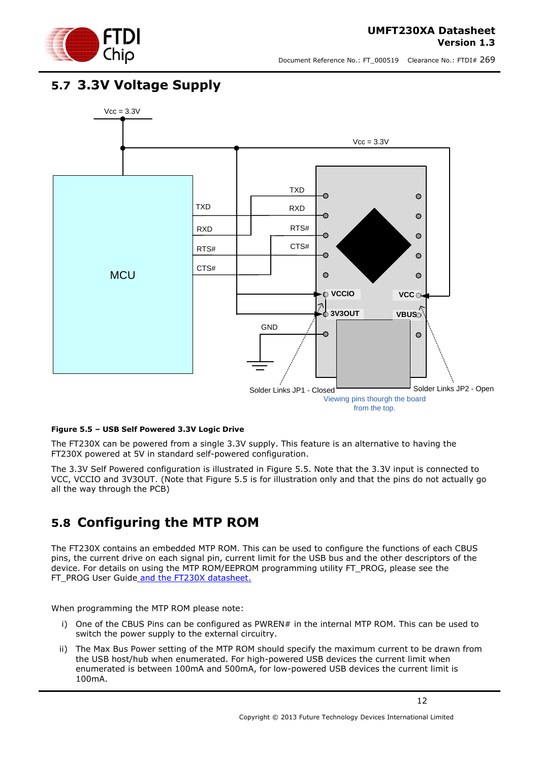



## <span id="page-11-0"></span>**5.7 3.3V Voltage Supply**



#### <span id="page-11-2"></span>**Figure 5.5 – USB Self Powered 3.3V Logic Drive**

The FT230X can be powered from a single 3.3V supply. This feature is an alternative to having the FT230X powered at 5V in standard self-powered configuration.

The 3.3V Self Powered configuration is illustrated in [Figure 5.5.](#page-11-2) Note that the 3.3V input is connected to VCC, VCCIO and 3V3OUT. (Note that Figure 5.5 is for illustration only and that the pins do not actually go all the way through the PCB)

## <span id="page-11-1"></span>**5.8 Configuring the MTP ROM**

The FT230X contains an embedded MTP ROM. This can be used to configure the functions of each CBUS pins, the current drive on each signal pin, current limit for the USB bus and the other descriptors of the device. For details on using the MTP ROM/EEPROM programming utility FT\_PROG, please see the FT\_PROG User Guide and the FT230X datasheet.

When programming the MTP ROM please note:

- i) One of the CBUS Pins can be configured as PWREN# in the internal MTP ROM. This can be used to switch the power supply to the external circuitry.
- ii) The Max Bus Power setting of the MTP ROM should specify the maximum current to be drawn from the USB host/hub when enumerated. For high-powered USB devices the current limit when enumerated is between 100mA and 500mA, for low-powered USB devices the current limit is 100mA.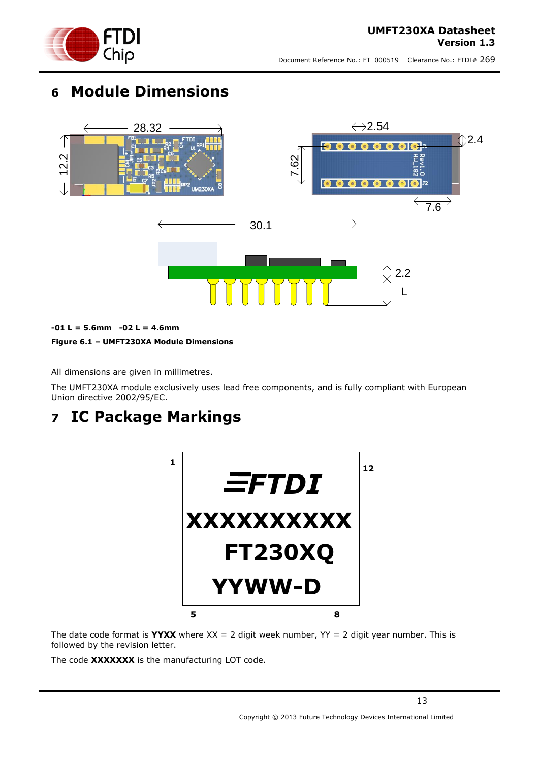

# <span id="page-12-0"></span>**6 Module Dimensions**



#### <span id="page-12-2"></span>**-01 L = 5.6mm -02 L = 4.6mm**

#### **Figure 6.1 – UMFT230XA Module Dimensions**

All dimensions are given in millimetres.

The UMFT230XA module exclusively uses lead free components, and is fully compliant with European Union directive 2002/95/EC.

# <span id="page-12-1"></span>**7 IC Package Markings**



The date code format is **YYXX** where  $XX = 2$  digit week number,  $YY = 2$  digit year number. This is followed by the revision letter.

The code **XXXXXXX** is the manufacturing LOT code.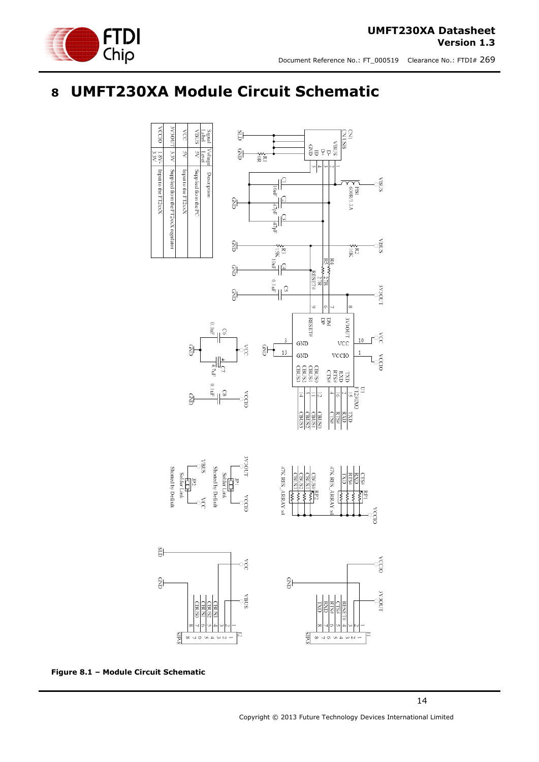

#### **UMFT230XA Datasheet Version 1.3**

Document Reference No.: FT\_000519 Clearance No.: FTDI# 269

# <span id="page-13-0"></span>**8 UMFT230XA Module Circuit Schematic**



<span id="page-13-1"></span>**Figure 8.1 – Module Circuit Schematic**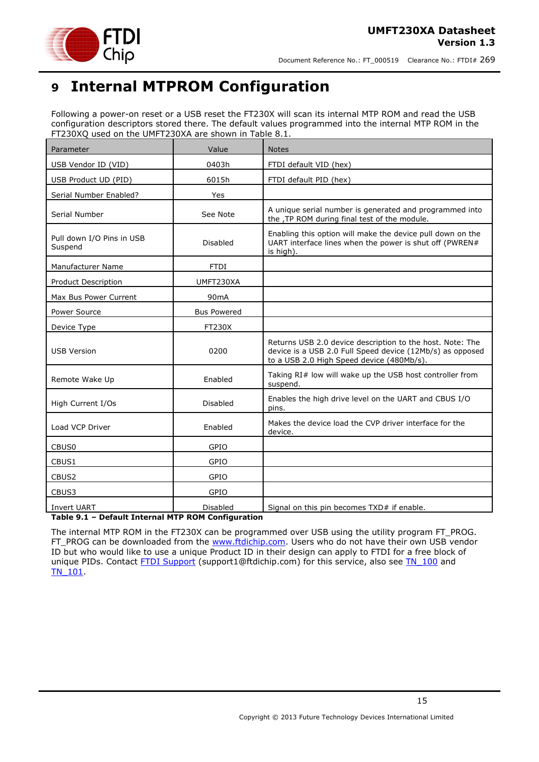

# <span id="page-14-0"></span>**9 Internal MTPROM Configuration**

Following a power-on reset or a USB reset the FT230X will scan its internal MTP ROM and read the USB configuration descriptors stored there. The default values programmed into the internal MTP ROM in the FT230XQ used on the UMFT230XA are shown in Table 8.1.

| Parameter                            | Value              | <b>Notes</b>                                                                                                                                                        |
|--------------------------------------|--------------------|---------------------------------------------------------------------------------------------------------------------------------------------------------------------|
| USB Vendor ID (VID)                  | 0403h              | FTDI default VID (hex)                                                                                                                                              |
| USB Product UD (PID)                 | 6015h              | FTDI default PID (hex)                                                                                                                                              |
| Serial Number Enabled?               | Yes                |                                                                                                                                                                     |
| Serial Number                        | See Note           | A unique serial number is generated and programmed into<br>the , TP ROM during final test of the module.                                                            |
| Pull down I/O Pins in USB<br>Suspend | Disabled           | Enabling this option will make the device pull down on the<br>UART interface lines when the power is shut off (PWREN#<br>is high).                                  |
| Manufacturer Name                    | <b>FTDI</b>        |                                                                                                                                                                     |
| Product Description                  | UMFT230XA          |                                                                                                                                                                     |
| Max Bus Power Current                | 90 <sub>m</sub> A  |                                                                                                                                                                     |
| Power Source                         | <b>Bus Powered</b> |                                                                                                                                                                     |
| Device Type                          | <b>FT230X</b>      |                                                                                                                                                                     |
| <b>USB Version</b>                   | 0200               | Returns USB 2.0 device description to the host. Note: The<br>device is a USB 2.0 Full Speed device (12Mb/s) as opposed<br>to a USB 2.0 High Speed device (480Mb/s). |
| Remote Wake Up                       | Enabled            | Taking RI# low will wake up the USB host controller from<br>suspend.                                                                                                |
| High Current I/Os                    | <b>Disabled</b>    | Enables the high drive level on the UART and CBUS I/O<br>pins.                                                                                                      |
| Load VCP Driver                      | Enabled            | Makes the device load the CVP driver interface for the<br>device.                                                                                                   |
| CBUS0                                | GPIO               |                                                                                                                                                                     |
| CBUS1                                | GPIO               |                                                                                                                                                                     |
| CBUS2                                | GPIO               |                                                                                                                                                                     |
| CBUS3                                | GPIO               |                                                                                                                                                                     |
| <b>Invert UART</b>                   | Disabled           | Signal on this pin becomes TXD# if enable.                                                                                                                          |

<span id="page-14-1"></span>**Table 9.1 – Default Internal MTP ROM Configuration**

The internal MTP ROM in the FT230X can be programmed over USB using the utility program FT\_PROG. FT\_PROG can be downloaded from the [www.ftdichip.com.](http://www.ftdichip.com/) Users who do not have their own USB vendor ID but who would like to use a unique Product ID in their design can apply to FTDI for a free block of unique PIDs. Contact **FTDI Support** (support1@ftdichip.com) for this service, also see TN 100 and [TN\\_101.](http://www.ftdichip.com/Support/Documents/TechnicalNotes/TN_104_Guide%20to%20Debugging_Customers_Failed_Driver_%20Installation_%20on_%20Windows.pdf)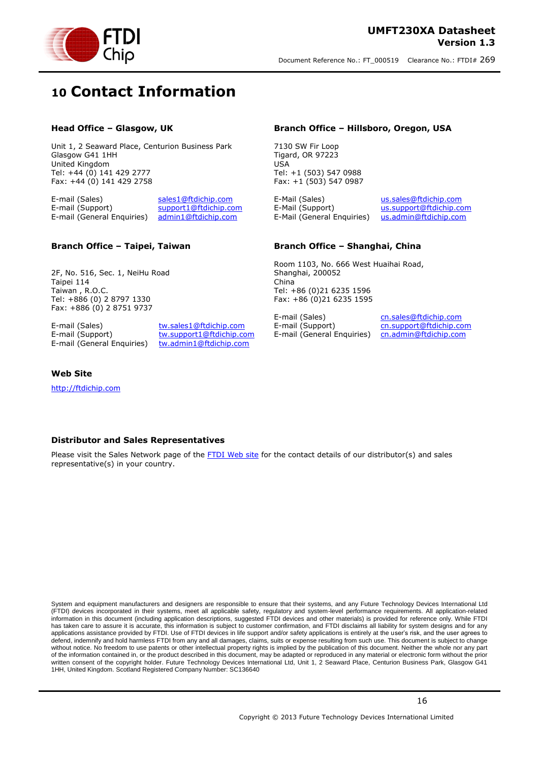



# <span id="page-15-0"></span>**10 Contact Information**

#### **Head Office – Glasgow, UK**

Unit 1, 2 Seaward Place, Centurion Business Park Glasgow G41 1HH United Kingdom Tel: +44 (0) 141 429 2777 Fax: +44 (0) 141 429 2758

E-mail (Sales) [sales1@ftdichip.com](mailto:sales1@ftdichip.com) E-mail (Support) [support1@ftdichip.com](mailto:support1@ftdichip.com) E-mail (General Enquiries) [admin1@ftdichip.com](mailto:admin1@ftdichip.com)

#### **Branch Office – Taipei, Taiwan**

2F, No. 516, Sec. 1, NeiHu Road Taipei 114 Taiwan , R.O.C. Tel: +886 (0) 2 8797 1330 Fax: +886 (0) 2 8751 9737

E-mail (Sales) [tw.sales1@ftdichip.com](mailto:tw.sales1@ftdichip.com)

E-mail (Support) [tw.support1@ftdichip.com](mailto:tw.support1@ftdichip.com) E-mail (General Enquiries) [tw.admin1@ftdichip.com](mailto:tw.admin1@ftdichip.com)

#### **Branch Office – Hillsboro, Oregon, USA**

7130 SW Fir Loop Tigard, OR 97223 USA Tel: +1 (503) 547 0988 Fax: +1 (503) 547 0987

E-Mail (Sales) [us.sales@ftdichip.com](mailto:us.sales@ftdichip.com) E-Mail (Support) [us.support@ftdichip.com](mailto:us.support@ftdichip.com) E-Mail (General Enquiries) [us.admin@ftdichip.com](mailto:us.admin@ftdichip.com)

#### **Branch Office – Shanghai, China**

Room 1103, No. 666 West Huaihai Road, Shanghai, 200052 China Tel: +86 (0)21 6235 1596 Fax: +86 (0)21 6235 1595

E-mail (Sales) comes contained to the community community community community community community community co<br>
E-mail (Support) contained to the contained community contained to the contained to the contained community c E-mail (General Enquiries) [cn.admin@ftdichip.com](mailto:cn.admin@ftdichip.com)

[cn.support@ftdichip.com](mailto:cn.support@ftdichip.com)

#### **Web Site**

[http://ftdichip.com](http://ftdichip.com/)

#### **Distributor and Sales Representatives**

Please visit the Sales Network page of the [FTDI Web site](http://ftdichip.com/FTSalesNetwork.htm) for the contact details of our distributor(s) and sales representative(s) in your country.

System and equipment manufacturers and designers are responsible to ensure that their systems, and any Future Technology Devices International Ltd (FTDI) devices incorporated in their systems, meet all applicable safety, regulatory and system-level performance requirements. All application-related information in this document (including application descriptions, suggested FTDI devices and other materials) is provided for reference only. While FTDI has taken care to assure it is accurate, this information is subject to customer confirmation, and FTDI disclaims all liability for system designs and for any applications assistance provided by FTDI. Use of FTDI devices in life support and/or safety applications is entirely at the user's risk, and the user agrees to defend, indemnify and hold harmless FTDI from any and all damages, claims, suits or expense resulting from such use. This document is subject to change without notice. No freedom to use patents or other intellectual property rights is implied by the publication of this document. Neither the whole nor any part of the information contained in, or the product described in this document, may be adapted or reproduced in any material or electronic form without the prior written consent of the copyright holder. Future Technology Devices International Ltd, Unit 1, 2 Seaward Place, Centurion Business Park, Glasgow G41 1HH, United Kingdom. Scotland Registered Company Number: SC136640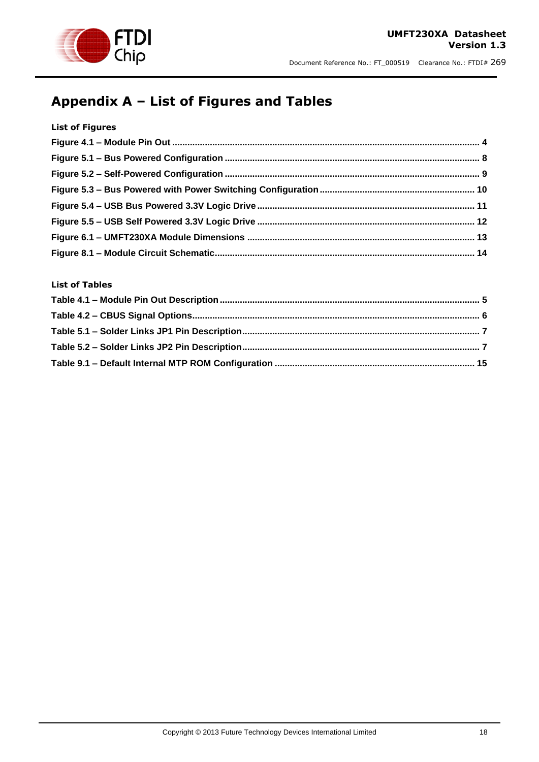

#### **UMFT230XA Datasheet Version 1.3**

Document Reference No.: FT\_000519 Clearance No.: FTDI# 269

# <span id="page-16-0"></span>**Appendix A – List of Figures and Tables**

#### **List of Figures**

### **List of Tables**